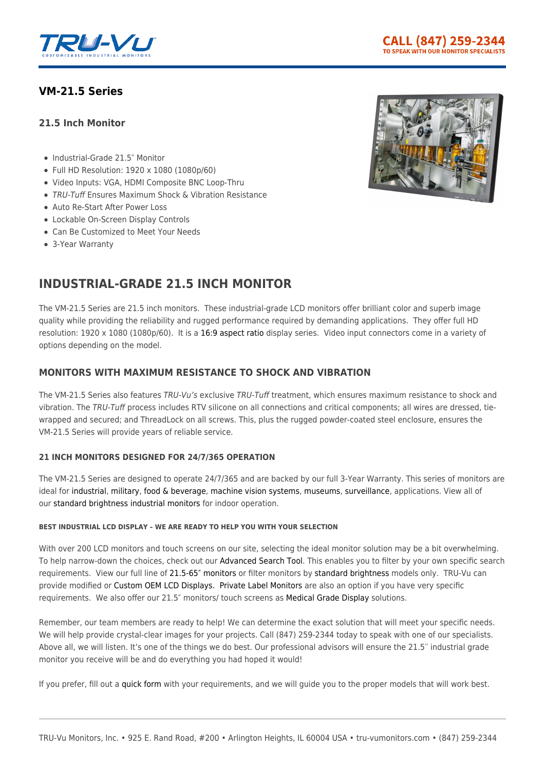

# **[VM-21.5 Series](https://tru-vumonitors.com/products/vm-21-5-series/)**

## **21.5 Inch Monitor**

- Industrial-Grade 21.5" Monitor
- Full HD Resolution: 1920 x 1080 (1080p/60)
- Video Inputs: VGA, HDMI Composite BNC Loop-Thru
- TRU-Tuff Ensures Maximum Shock & Vibration Resistance
- Auto Re-Start After Power Loss
- Lockable On-Screen Display Controls
- Can Be Customized to Meet Your Needs
- 3-Year Warranty

# **INDUSTRIAL-GRADE 21.5 INCH MONITOR**

The VM-21.5 Series are 21.5 inch monitors. These industrial-grade LCD monitors offer brilliant color and superb image quality while providing the reliability and rugged performance required by demanding applications. They offer full HD resolution: 1920 x 1080 (1080p/60). It is a [16:9 aspect ratio](https://tru-vumonitors.com/16by9-monitors/) display series. Video input connectors come in a variety of options depending on the model.

# **MONITORS WITH MAXIMUM RESISTANCE TO SHOCK AND VIBRATION**

The VM-21.5 Series also features TRU-Vu's exclusive TRU-Tuff treatment, which ensures maximum resistance to shock and vibration. The TRU-Tuff process includes RTV silicone on all connections and critical components; all wires are dressed, tiewrapped and secured; and ThreadLock on all screws. This, plus the rugged powder-coated steel enclosure, ensures the VM-21.5 Series will provide years of reliable service.

## **21 INCH MONITORS DESIGNED FOR 24/7/365 OPERATION**

The VM-21.5 Series are designed to operate 24/7/365 and are backed by our full 3-Year Warranty. This series of monitors are ideal for [industrial](https://tru-vumonitors.com/industries/industrial/), [military](https://tru-vumonitors.com/industries/military/), [food & beverage](https://tru-vumonitors.com/industries/food-beverage/), [machine vision systems](https://tru-vumonitors.com/industries/automation-machine-vision/), [museums,](https://tru-vumonitors.com/industries/museums-exhibits/) [surveillance,](https://tru-vumonitors.com/industries/security/) applications. View all of our [standard brightness industrial monitors](https://tru-vumonitors.com/standard-brightness-monitors/) for indoor operation.

## **BEST INDUSTRIAL LCD DISPLAY – WE ARE READY TO HELP YOU WITH YOUR SELECTION**

With over 200 LCD monitors and touch screens on our site, selecting the ideal monitor solution may be a bit overwhelming. To help narrow-down the choices, check out our [Advanced Search Tool.](https://tru-vumonitors.com/products/) This enables you to filter by your own specific search requirements. View our full line of [21.5-65″ monitors](https://tru-vumonitors.com/21in-to-65in-monitors/) or filter monitors by [standard brightness](https://tru-vumonitors.com/standard-brightness-monitors/) models only. TRU-Vu can provide modified or [Custom OEM LCD Displays.](https://tru-vumonitors.com/custom-monitors/) [Private Label Monitors](https://tru-vumonitors.com/private-label-monitors/) are also an option if you have very specific requirements. We also offer our 21.5″ monitors/ touch screens as [Medical Grade Display](https://tru-vumonitors.com/medical-displays/) solutions.

Remember, our team members are ready to help! We can determine the exact solution that will meet your specific needs. We will help provide crystal-clear images for your projects. Call (847) 259-2344 today to speak with one of our specialists. Above all, we will listen. It's one of the things we do best. Our professional advisors will ensure the 21.5′′ industrial grade monitor you receive will be and do everything you had hoped it would!

If you prefer, fill out a [quick form](https://tru-vumonitors.com/request-quote/) with your requirements, and we will guide you to the proper models that will work best.

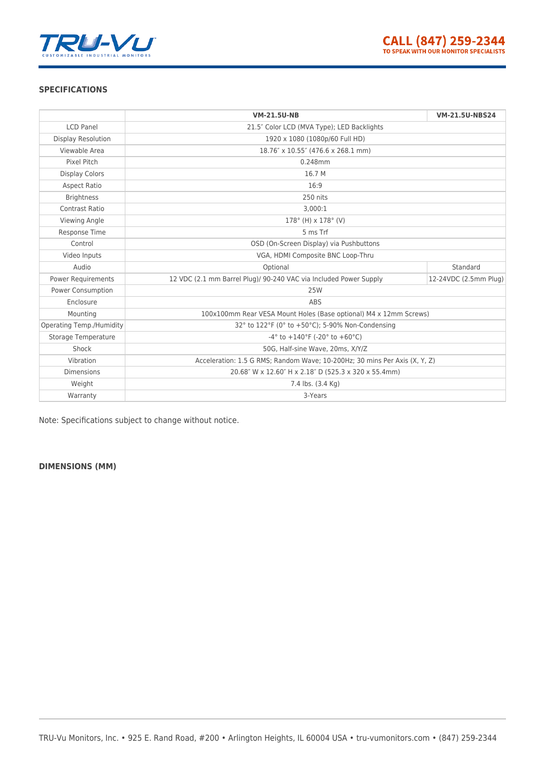

### **SPECIFICATIONS**

|                           | <b>VM-21.5U-NB</b>                                                         | <b>VM-21.5U-NBS24</b> |
|---------------------------|----------------------------------------------------------------------------|-----------------------|
| <b>LCD Panel</b>          | 21.5" Color LCD (MVA Type); LED Backlights                                 |                       |
| <b>Display Resolution</b> | 1920 x 1080 (1080p/60 Full HD)                                             |                       |
| Viewable Area             | 18.76" x 10.55" (476.6 x 268.1 mm)                                         |                       |
| Pixel Pitch               | 0.248mm                                                                    |                       |
| <b>Display Colors</b>     | 16.7 M                                                                     |                       |
| <b>Aspect Ratio</b>       | 16:9                                                                       |                       |
| <b>Brightness</b>         | 250 nits                                                                   |                       |
| <b>Contrast Ratio</b>     | 3.000:1                                                                    |                       |
| Viewing Angle             | $178^{\circ}$ (H) x $178^{\circ}$ (V)                                      |                       |
| Response Time             | 5 ms Trf                                                                   |                       |
| Control                   | OSD (On-Screen Display) via Pushbuttons                                    |                       |
| Video Inputs              | VGA, HDMI Composite BNC Loop-Thru                                          |                       |
| Audio                     | Optional                                                                   | Standard              |
| Power Requirements        | 12 VDC (2.1 mm Barrel Plug)/ 90-240 VAC via Included Power Supply          | 12-24VDC (2.5mm Plug) |
| <b>Power Consumption</b>  | <b>25W</b>                                                                 |                       |
| Enclosure                 | ABS                                                                        |                       |
| Mounting                  | 100x100mm Rear VESA Mount Holes (Base optional) M4 x 12mm Screws)          |                       |
| Operating Temp./Humidity  | 32° to 122°F (0° to +50°C); 5-90% Non-Condensing                           |                       |
| Storage Temperature       | $-4^{\circ}$ to $+140^{\circ}$ F (-20° to $+60^{\circ}$ C)                 |                       |
| Shock                     | 50G, Half-sine Wave, 20ms, X/Y/Z                                           |                       |
| Vibration                 | Acceleration: 1.5 G RMS; Random Wave; 10-200Hz; 30 mins Per Axis (X, Y, Z) |                       |
| <b>Dimensions</b>         | 20.68" W x 12.60" H x 2.18" D (525.3 x 320 x 55.4mm)                       |                       |
| Weight                    | 7.4 lbs. (3.4 Kg)                                                          |                       |
| Warranty                  | 3-Years                                                                    |                       |

Note: Specifications subject to change without notice.

## **DIMENSIONS (MM)**